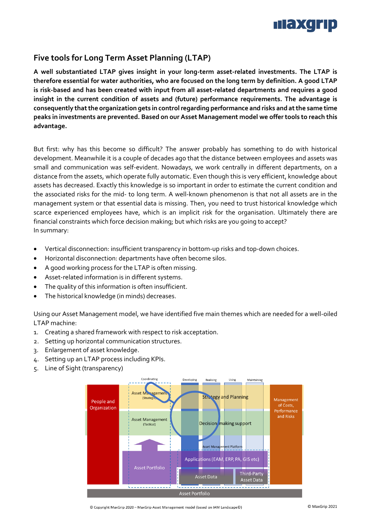

# **Five tools for Long Term Asset Planning (LTAP)**

**A well substantiated LTAP gives insight in your long-term asset-related investments. The LTAP is therefore essential for water authorities, who are focused on the long term by definition. A good LTAP is risk-based and has been created with input from all asset-related departments and requires a good insight in the current condition of assets and (future) performance requirements. The advantage is consequently that the organization gets in controlregarding performance and risks and at the same time peaks in investments are prevented. Based on our Asset Management model we offer tools to reach this advantage.** 

But first: why has this become so difficult? The answer probably has something to do with historical development. Meanwhile it is a couple of decades ago that the distance between employees and assets was small and communication was self-evident. Nowadays, we work centrally in different departments, on a distance from the assets, which operate fully automatic. Even though this is very efficient, knowledge about assets has decreased. Exactly this knowledge is so important in order to estimate the current condition and the associated risks for the mid- to long term. A well-known phenomenon is that not all assets are in the management system or that essential data is missing. Then, you need to trust historical knowledge which scarce experienced employees have, which is an implicit risk for the organisation. Ultimately there are financial constraints which force decision making; but which risks are you going to accept? In summary:

- Vertical disconnection: insufficient transparency in bottom-up risks and top-down choices.
- Horizontal disconnection: departments have often become silos.
- A good working process for the LTAP is often missing.
- Asset-related information is in different systems.
- The quality of this information is often insufficient.
- The historical knowledge (in minds) decreases.

Using our Asset Management model, we have identified five main themes which are needed for a well-oiled LTAP machine:

- 1. Creating a shared framework with respect to risk acceptation.
- 2. Setting up horizontal communication structures.
- 3. Enlargement of asset knowledge.
- 4. Setting up an LTAP process including KPIs.
- 5. Line of Sight (transparency)



© Copyright MaxGrip 2020 - MaxGrip Asset Management model (based on IAM Landscape©)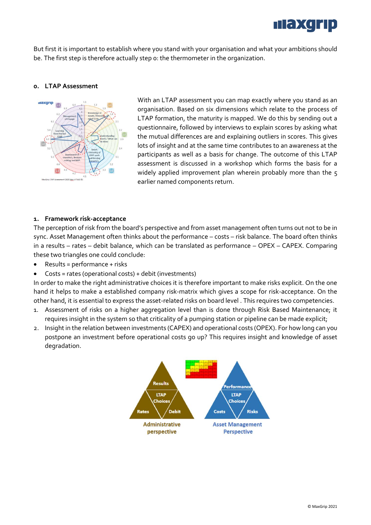

But first it is important to establish where you stand with your organisation and what your ambitions should be. The first step is therefore actually step 0: the thermometer in the organization.

## **0. LTAP Assessment**



With an LTAP assessment you can map exactly where you stand as an organisation. Based on six dimensions which relate to the process of LTAP formation, the maturity is mapped. We do this by sending out a questionnaire, followed by interviews to explain scores by asking what the mutual differences are and explaining outliers in scores. This gives lots of insight and at the same time contributes to an awareness at the participants as well as a basis for change. The outcome of this LTAP assessment is discussed in a workshop which forms the basis for a widely applied improvement plan wherein probably more than the 5 earlier named components return.

## **1. Framework risk-acceptance**

The perception of risk from the board's perspective and from asset management often turns out not to be in sync. Asset Management often thinks about the performance – costs – risk balance. The board often thinks in a results – rates – debit balance, which can be translated as performance – OPEX – CAPEX. Comparing these two triangles one could conclude:

- $\bullet$  Results = performance + risks
- Costs = rates (operational costs) + debit (investments)

In order to make the right administrative choices it is therefore important to make risks explicit. On the one hand it helps to make a established company risk-matrix which gives a scope for risk-acceptance. On the other hand, it is essential to express the asset-related risks on board level . This requires two competencies.

- 1. Assessment of risks on a higher aggregation level than is done through Risk Based Maintenance; it requires insight in the system so that criticality of a pumping station or pipeline can be made explicit;
- 2. Insight in the relation between investments (CAPEX) and operational costs (OPEX). For how long can you postpone an investment before operational costs go up? This requires insight and knowledge of asset degradation.

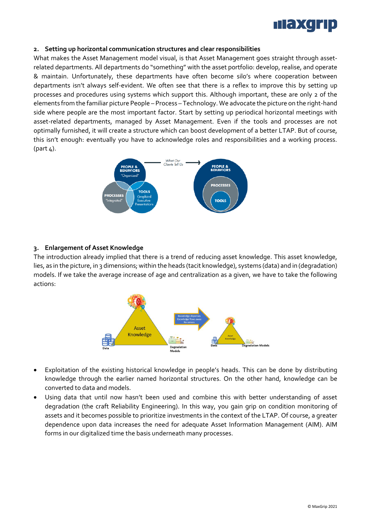

## **2. Setting up horizontal communication structures and clear responsibilities**

What makes the Asset Management model visual, is that Asset Management goes straight through assetrelated departments. All departments do "something" with the asset portfolio: develop, realise, and operate & maintain. Unfortunately, these departments have often become silo's where cooperation between departments isn't always self-evident. We often see that there is a reflex to improve this by setting up processes and procedures using systems which support this. Although important, these are only 2 of the elements from the familiar picture People – Process – Technology. We advocate the picture on the right-hand side where people are the most important factor. Start by setting up periodical horizontal meetings with asset-related departments, managed by Asset Management. Even if the tools and processes are not optimally furnished, it will create a structure which can boost development of a better LTAP. But of course, this isn't enough: eventually you have to acknowledge roles and responsibilities and a working process.  $(path 4).$ 



## **3. Enlargement of Asset Knowledge**

The introduction already implied that there is a trend of reducing asset knowledge. This asset knowledge, lies, as in the picture, in 3 dimensions; within the heads (tacit knowledge), systems (data) and in (degradation) models. If we take the average increase of age and centralization as a given, we have to take the following actions:



- Exploitation of the existing historical knowledge in people's heads. This can be done by distributing knowledge through the earlier named horizontal structures. On the other hand, knowledge can be converted to data and models.
- Using data that until now hasn't been used and combine this with better understanding of asset degradation (the craft Reliability Engineering). In this way, you gain grip on condition monitoring of assets and it becomes possible to prioritize investments in the context of the LTAP. Of course, a greater dependence upon data increases the need for adequate Asset Information Management (AIM). AIM forms in our digitalized time the basis underneath many processes.